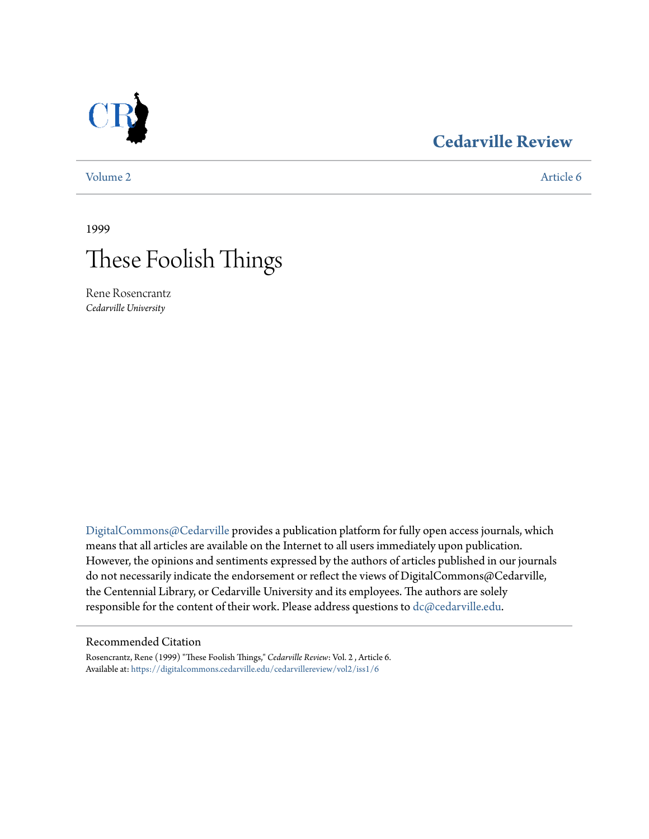

## **[Cedarville Review](https://digitalcommons.cedarville.edu/cedarvillereview?utm_source=digitalcommons.cedarville.edu%2Fcedarvillereview%2Fvol2%2Fiss1%2F6&utm_medium=PDF&utm_campaign=PDFCoverPages)**

[Volume 2](https://digitalcommons.cedarville.edu/cedarvillereview/vol2?utm_source=digitalcommons.cedarville.edu%2Fcedarvillereview%2Fvol2%2Fiss1%2F6&utm_medium=PDF&utm_campaign=PDFCoverPages) [Article 6](https://digitalcommons.cedarville.edu/cedarvillereview/vol2/iss1/6?utm_source=digitalcommons.cedarville.edu%2Fcedarvillereview%2Fvol2%2Fiss1%2F6&utm_medium=PDF&utm_campaign=PDFCoverPages)

1999



Rene Rosencrantz *Cedarville University*

[DigitalCommons@Cedarville](http://digitalcommons.cedarville.edu) provides a publication platform for fully open access journals, which means that all articles are available on the Internet to all users immediately upon publication. However, the opinions and sentiments expressed by the authors of articles published in our journals do not necessarily indicate the endorsement or reflect the views of DigitalCommons@Cedarville, the Centennial Library, or Cedarville University and its employees. The authors are solely responsible for the content of their work. Please address questions to [dc@cedarville.edu](mailto:dc@cedarville.edu).

## Recommended Citation

Rosencrantz, Rene (1999) "These Foolish Things," *Cedarville Review*: Vol. 2 , Article 6. Available at: [https://digitalcommons.cedarville.edu/cedarvillereview/vol2/iss1/6](https://digitalcommons.cedarville.edu/cedarvillereview/vol2/iss1/6?utm_source=digitalcommons.cedarville.edu%2Fcedarvillereview%2Fvol2%2Fiss1%2F6&utm_medium=PDF&utm_campaign=PDFCoverPages)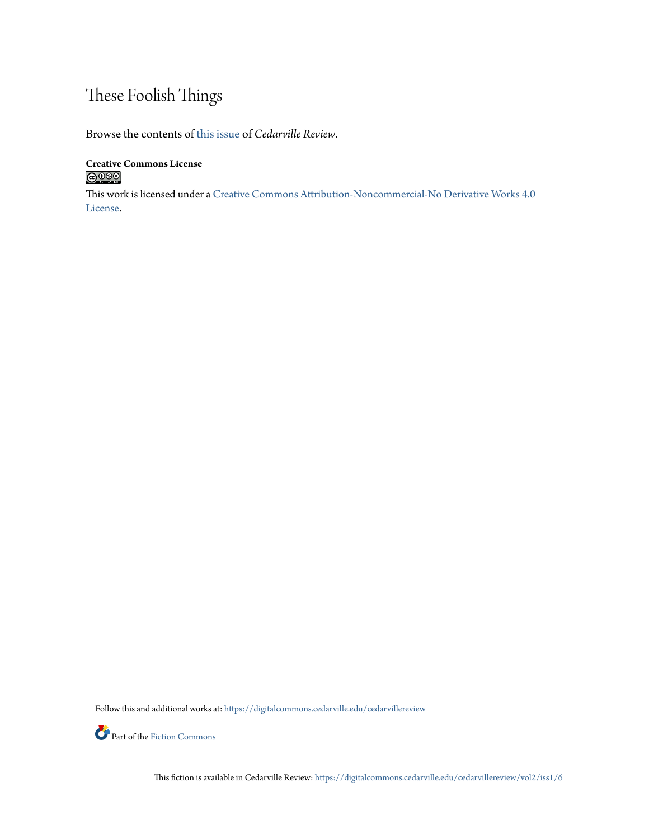## These Foolish Things

Browse the contents of [this issue](https://digitalcommons.cedarville.edu/cedarvillereview/vol2/iss1) of *Cedarville Review*.

**Creative Commons License**  $\bigcirc$  000

This work is licensed under a [Creative Commons Attribution-Noncommercial-No Derivative Works 4.0](http://creativecommons.org/licenses/by-nc-nd/4.0/) [License.](http://creativecommons.org/licenses/by-nc-nd/4.0/)

Follow this and additional works at: [https://digitalcommons.cedarville.edu/cedarvillereview](https://digitalcommons.cedarville.edu/cedarvillereview?utm_source=digitalcommons.cedarville.edu%2Fcedarvillereview%2Fvol2%2Fiss1%2F6&utm_medium=PDF&utm_campaign=PDFCoverPages)



This fiction is available in Cedarville Review: [https://digitalcommons.cedarville.edu/cedarvillereview/vol2/iss1/6](https://digitalcommons.cedarville.edu/cedarvillereview/vol2/iss1/6?utm_source=digitalcommons.cedarville.edu%2Fcedarvillereview%2Fvol2%2Fiss1%2F6&utm_medium=PDF&utm_campaign=PDFCoverPages)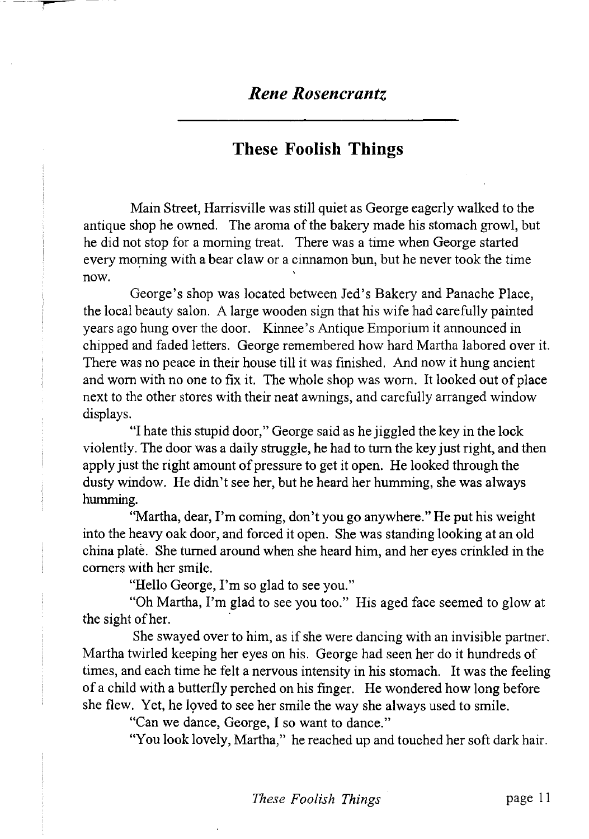## **These Foolish Things**

Main Street, Harrisville was still quiet as George eagerly walked to the antique shop he owned. The aroma of the bakery made his stomach growl, but he did not stop for a morning treat. There was a time when George started every morning with a bear claw or a cinnamon bun, but he never took the time now.

George's shop was located between Jed's Bakery and Panache Place, the local beauty salon. A large wooden sign that his wife had carefully painted years ago hung over the door. Kinnee's Antique Emporium it announced in chipped and faded letters. George remembered how hard Martha labored over it. There was no peace in their house till it was finished. And now it hung ancient and worn with no one to fix it. The whole shop was worn. It looked out of place next to the other stores with their neat awnings, and carefully arranged window displays.

"I hate this stupid door," George said as he jiggled the key in the lock violently. The door was a daily struggle, he had to turn the key just right, and then apply just the right amount of pressure to get it open. He looked through the dusty window. He didn't see her, but he heard her humming, she was always humming.

"Martha, dear, I'm coming, don't you go anywhere." He put his weight into the heavy oak door, and forced it open. She was standing looking at an old china plate. She turned around when she heard him, and her eyes crinkled in the comers with her smile.

"Hello George, I'm so glad to see you."

"Oh Martha, I'm glad to see you too." His aged face seemed to glow at the sight of her.

She swayed over to him, as if she were dancing with an invisible partner. Martha twirled keeping her eyes on his. George had seen her do it hundreds of times, and each time he felt a nervous intensity in his stomach. It was the feeling of a child with a butterfly perched on his finger. He wondered how long before she flew. Yet, he loved to see her smile the way she always used to smile.

"Can we dance, George, I so want to dance."

"You look lovely, Martha," he reached up and touched her soft dark hair.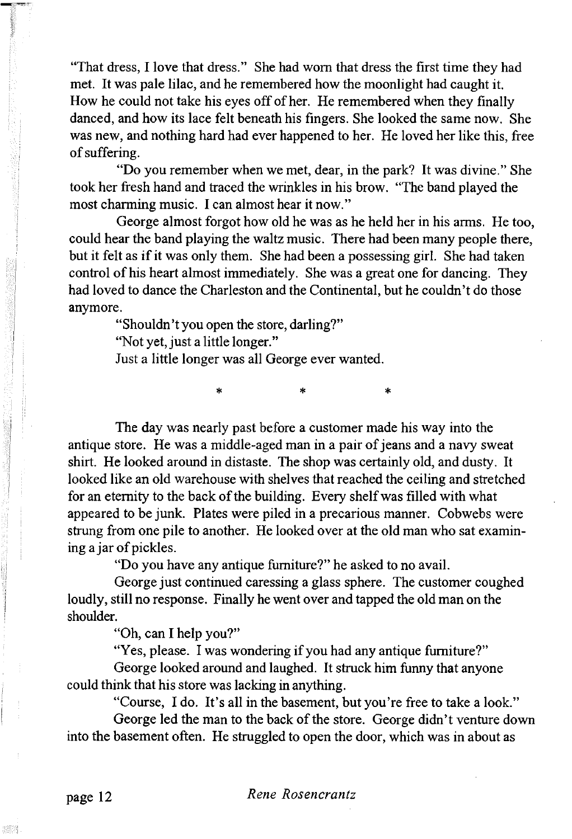"That dress, I love that dress." She had worn that dress the first time they had met. It was pale lilac, and he remembered how the moonlight had caught it. How he could not take his eyes off of her. He remembered when they finally danced, and how its lace felt beneath his fingers. She looked the same now. She was new, and nothing hard had ever happened to her. He loved her like this, free of suffering.

"Do you remember when we met, dear, in the park? It was divine." She took her fresh hand and traced the wrinkles in his brow. "The band played the most charming music. I can almost hear it now."

George almost forgot how old he was as he held her in his arms. He too, could hear the band playing the waltz music. There had been many people there, but it felt as if it was only them. She had been a possessing girl. She had taken control of his heart almost immediately. She was a great one for dancing. They had loved to dance the Charleston and the Continental, but he couldn't do those anymore.

"Shouldn't you open the store, darling?"

"Not yet, just a little longer."

Just a little longer was all George ever wanted.

The day was nearly past before a customer made his way into the antique store. He was a middle-aged man in a pair of jeans and a navy sweat shirt. He looked around in distaste. The shop was certainly old, and dusty. It looked like an old warehouse with shelves that reached the ceiling and stretched for an eternity to the back of the building. Every shelf was filled with what appeared to be junk. Plates were piled in a precarious manner. Cobwebs were strung from one pile to another. He looked over at the old man who sat examining a jar of pickles.

\* \* \*

"Do you have any antique furniture?" he asked to no avail.

George just continued caressing a glass sphere. The customer coughed loudly, still no response. Finally he went over and tapped the old man on the shoulder.

"Oh, can I help you?"

"Yes, please. I was wondering if you had any antique furniture?"

George looked around and laughed. It struck him funny that anyone could think that his store was lacking in anything.

"Course, I do. It's all in the basement, but you're free to take a look."

George led the man to the back of the store. George didn't venture down into the basement often. He struggled to open the door, which was in about as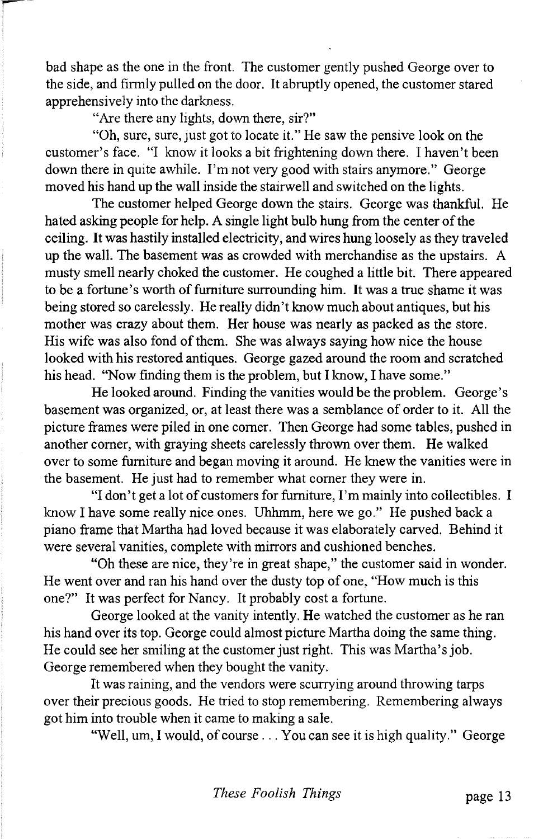bad shape as the one in the front. The customer gently pushed George over to the side, and firmly pulled on the door. It abruptly opened, the customer stared apprehensively into the darkness.

"Are there any lights, down there, sir?"

"Oh, sure, sure, just got to locate it." He saw the pensive look on the customer's face. "I know it looks a bit frightening down there. I haven't been down there in quite awhile. I'm not very good with stairs anymore." George moved his hand up the wall inside the stairwell and switched on the lights.

The customer helped George down the stairs. George was thankful. He hated asking people for help. A single light bulb hung from the center of the ceiling. It was hastily installed electricity, and wires hung loosely as they traveled up the wall. The basement was as crowded with merchandise as the upstairs. A musty smell nearly choked the customer. He coughed a little bit. There appeared to be a fortune's worth of furniture surrounding him. It was a true shame it was being stored so carelessly. He really didn't know much about antiques, but his mother was crazy about them. Her house was nearly as packed as the store. His wife was also fond of them. She was always saying how nice the house looked with his restored antiques. George gazed around the room and scratched his head. "Now finding them is the problem, but I know, I have some."

He looked around. Finding the vanities would be the problem. George's basement was organized, or, at least there was a semblance of order to it. All the picture frames were piled in one comer. Then George had some tables, pushed in another comer, with graying sheets carelessly thrown over them. He walked over to some furniture and began moving it around. He knew the vanities were in the basement. He just had to remember what comer they were in.

"I don't get a lot of customers for furniture, I'm mainly into collectibles. I know I have some really nice ones. Uhhmm, here we go." He pushed back a piano frame that Martha had loved because it was elaborately carved. Behind it were several vanities, complete with mirrors and cushioned benches.

"Oh these are nice, they're in great shape," the customer said in wonder. He went over and ran his hand over the dusty top of one, "How much is this one?" It was perfect for Nancy. It probably cost a fortune.

George looked at the vanity intently. He watched the customer as he ran his hand over its top. George could almost picture Martha doing the same thing. He could see her smiling at the customer just right. This was Martha's job. George remembered when they bought the vanity.

It was raining, and the vendors were scurrying around throwing tarps over their precious goods. He tried to stop remembering. Remembering always got him into trouble when it came to making a sale.

"Well, um, I would, of course ... You can see it is high quality." George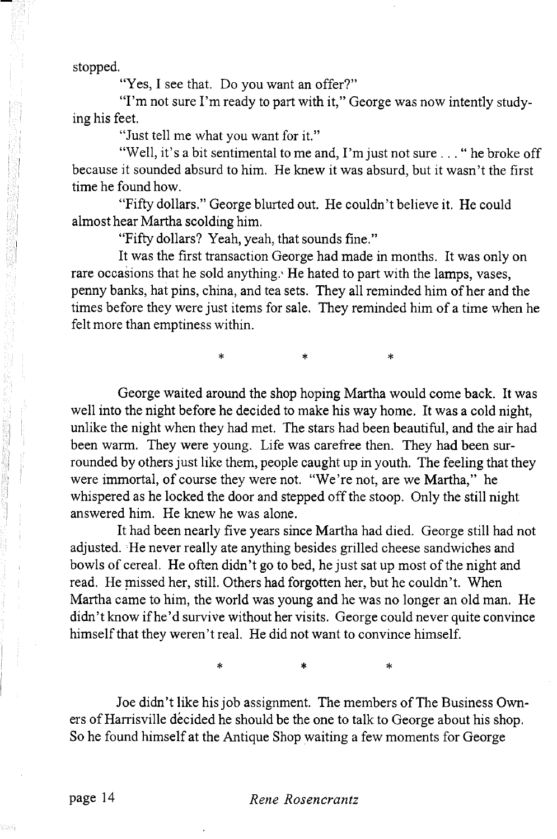stopped.

"Yes, I see that. Do you want an offer?"

"I'm not sure I'm ready to part with it," George was now intently studying his feet.

"Just tell me what you want for it."

"Well, it's a bit sentimental to me and, I'm just not sure .. . " he broke off because it sounded absurd to him. He knew it was absurd, but it wasn't the first time he found how.

"Fifty dollars." George blurted out. He couldn't believe it. He could almost hear Martha scolding him.

"Fifty dollars? Yeah, yeah, that sounds fine."

It was the first transaction George had made in months. It was only on rare occasions that he sold anything.' He hated to part with the lamps, vases, penny banks, hat pins, china, and tea sets. They all reminded him of her and the times before they were just items for sale. They reminded him of a time when he felt more than emptiness within.

\* \* \*

George waited around the shop hoping Martha would come back. It was well into the night before he decided to make his way home. It was a cold night, unlike the night when they had met. The stars had been beautiful, and the air had been warm. They were young. Life was carefree then. They had been surrounded by others just like them, people caught up in youth. The feeling that they were immortal, of course they were not. "We're not, are we Martha," he whispered as he locked the door and stepped off the stoop. Only the still night answered him. He knew he was alone.

It had been nearly five years since Martha had died. George still had not adjusted. He never really ate anything besides grilled cheese sandwiches and bowls of cereal. He often didn't go to bed, he just sat up most of the night and read. He missed her, still. Others had forgotten her, but he couldn't. When Martha came to him, the world was young and he was no longer an old man. He didn't know if he'd survive without her visits. George could never quite convince himself that they weren't real. He did not want to convince himself.

 $*$  \*  $*$  \*  $*$ 

Joe didn't like his job assignment. The members of The Business Owners of Harrisville décided he should be the one to talk to George about his shop. So he found himself at the Antique Shop waiting a few moments for George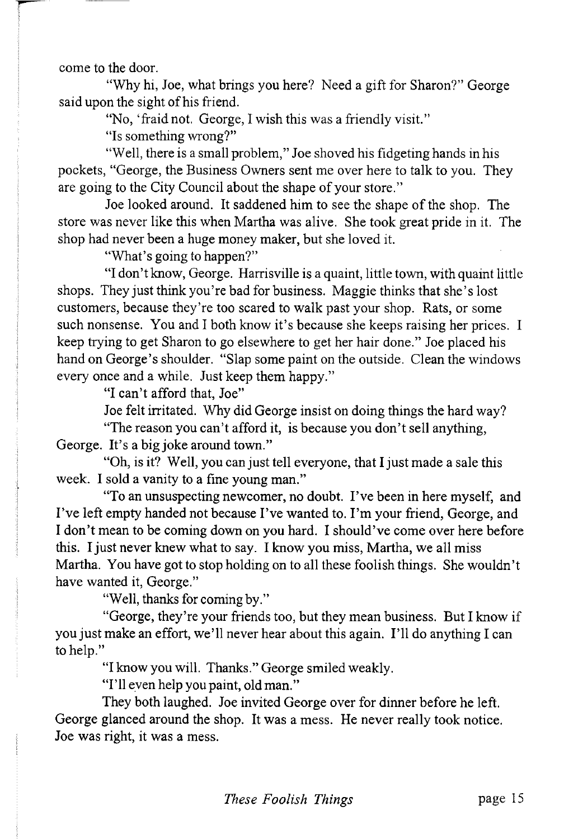come to the door.

"Why hi, Joe, what brings you here? Need a gift for Sharon?" George said upon the sight of his friend.

"No, 'ffaid not. George, I wish this was a friendly visit."

"Is something wrong?"

"Well, there is a small problem," Joe shoved his fidgeting hands in his pockets, "George, the Business Owners sent me over here to talk to you. They are going to the City Council about the shape of your store."

Joe looked around. It saddened him to see the shape of the shop. The store was never like this when Martha was alive. She took great pride in it. The shop had never been a huge money maker, but she loved it.

"What's going to happen?"

"I don't know, George. Harrisville is a quaint, little town, with quaint little shops. They just think you're bad for business. Maggie thinks that she's lost customers, because they're too scared to walk past your shop. Rats, or some such nonsense. You and I both know it's because she keeps raising her prices. I keep trying to get Sharon to go elsewhere to get her hair done." Joe placed his hand on George's shoulder. "Slap some paint on the outside. Clean the windows every once and a while. Just keep them happy."

"I can't afford that, Joe"

Joe felt irritated. Why did George insist on doing things the hard way?

"The reason you can't afford it, is because you don't sell anything, George. It's a big joke around town."

"Oh, is it? Well, you can just tell everyone, that I just made a sale this week. I sold a vanity to a fine young man."

"To an unsuspecting newcomer, no doubt. I've been in here myself, and I've left empty handed not because I've wanted to. I'm your friend, George, and I don't mean to be coming down on you hard. I should've come over here before this. I just never knew what to say. I know you miss, Martha, we all miss Martha. You have got to stop holding on to all these foolish things. She wouldn't have wanted it, George."

"Well, thanks for coming by."

"George, they're your friends too, but they mean business. But I know if you just make an effort, we'll never hear about this again. I'll do anything I can to help."

"I know you will. Thanks." George smiled weakly.

"I'll even help you paint, old man."

They both laughed. Joe invited George over for dinner before he left. George glanced around the shop. It was a mess. He never really took notice. Joe was right, it was a mess.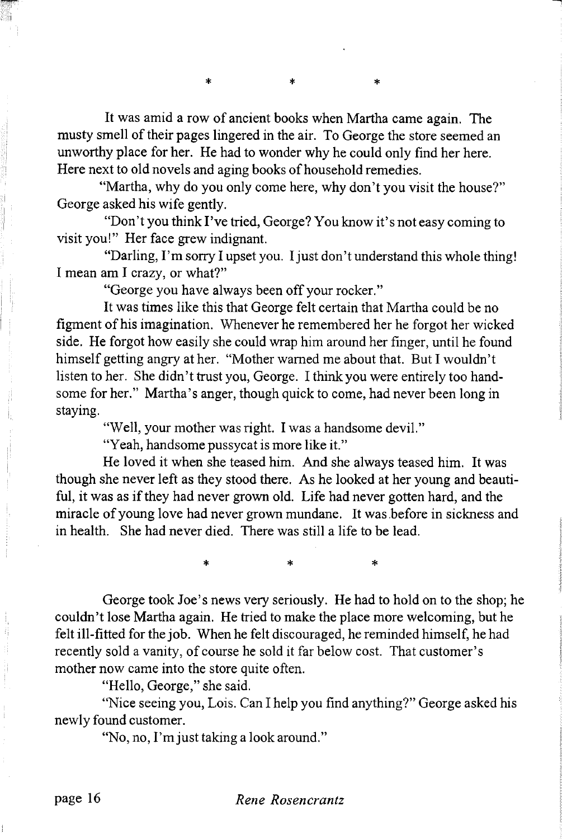It was amid a row of ancient books when Martha came again. The musty smell of their pages lingered in the air. To George the store seemed an unworthy place for her. He had to wonder why he could only find her here. Here next to old novels and aging books of household remedies.

 $\star$ 

"Martha, why do you only come here, why don't you visit the house?" George asked his wife gently.

"Don't you think I've tried, George? You know it's not easy coming to visit you!" Her face grew indignant.

"Darling, I'm sorry I upset you. I just don't understand this whole thing! I mean am I crazy, or what?"

"George you have always been off your rocker."

 $\star$ 

It was times like this that George felt certain that Martha could be no figment of his imagination. Whenever he remembered her he forgot her wicked side. He forgot how easily she could wrap him around her finger, until he found himself getting angry at her. "Mother warned me about that. But I wouldn't listen to her. She didn't trust you, George. I think you were entirely too handsome for her." Martha's anger, though quick to come, had never been long in staying.

"Well, your mother was right. I was a handsome devil."

"Yeah, handsome pussycat is more like it."

He loved it when she teased him. And she always teased him. It was though she never left as they stood there. As he looked at her young and beautiful, it was as if they had never grown old. Life had never gotten hard, and the miracle of young love had never grown mundane. It was before in sickness and in health. She had never died. There was still a life to be lead.

\* \* \*

George took Joe's news very seriously. He had to hold on to the shop; he couldn't lose Martha again. He tried to make the place more welcoming, but he felt ill-fitted for the job. When he felt discouraged, he reminded himself, he had recently sold a vanity, of course he sold it far below cost. That customer's mother now came into the store quite often.

"Hello, George," she said.

"Nice seeing you, Lois. Can I help you find anything?" George asked his newly found customer.

"No, no, I'm just taking a look around."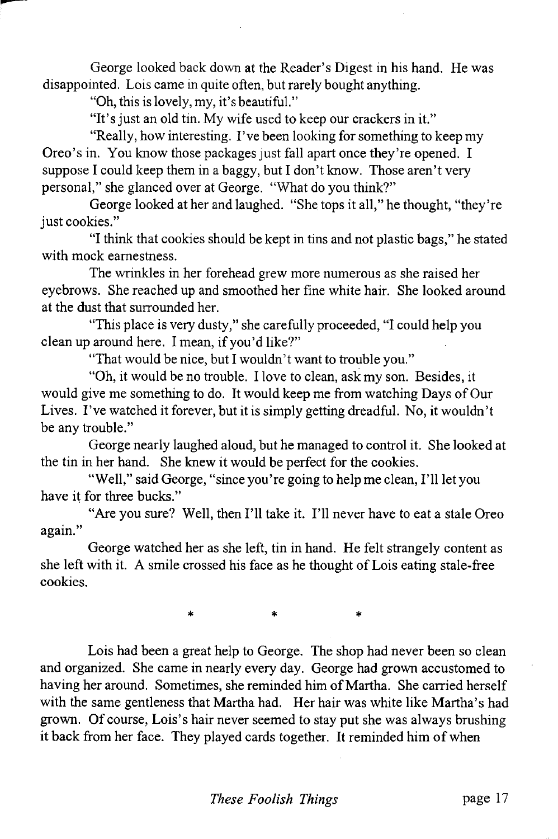George looked back down at the Reader's Digest in his hand. He was disappointed. Lois came in quite often, but rarely bought anything.

"Oh, this is lovely, my, it's beautiful."

"It's just an old tin. My wife used to keep our crackers in it."

"Really, how interesting. I've been looking for something to keep my Oreo's in. You know those packages just fall apart once they're opened. I suppose I could keep them in a baggy, but I don't know. Those aren't very personal," she glanced over at George. "What do you think?"

George looked at her and laughed. "She tops it all," he thought, "they're just cookies."

"I think that cookies should be kept in tins and not plastic bags," he stated with mock earnestness.

The wrinkles in her forehead grew more numerous as she raised her eyebrows. She reached up and smoothed her fine white hair. She looked around at the dust that surrounded her.

"This place is very dusty," she carefully proceeded, "I could help you clean up around here. I mean, if you'd like?"

"That would be nice, but I wouldn't want to trouble you."

"Oh, it would be no trouble. I love to clean, ask my son. Besides, it would give me something to do. It would keep me from watching Days of Our Lives. I've watched it forever, but it is simply getting dreadful. No, it wouldn't be any trouble."

George nearly laughed aloud, but he managed to control it. She looked at the tin in her hand. She knew it would be perfect for the cookies.

"Well," said George, "since you're going to help me clean, I'll let you have it for three bucks."

"Are you sure? Well, then I'll take it. I'll never have to eat a stale Oreo again."

George watched her as she left, tin in hand. He felt strangely content as she left with it. A smile crossed his face as he thought of Lois eating stale-free cookies.

\* \* \*

Lois had been a great help to George. The shop had never been so clean and organized. She came in nearly every day. George had grown accustomed to having her around. Sometimes, she reminded him of Martha. She carried herself with the same gentleness that Martha had. Her hair was white like Martha's had grown. Of course, Lois's hair never seemed to stay put she was always brushing it back from her face. They played cards together. It reminded him of when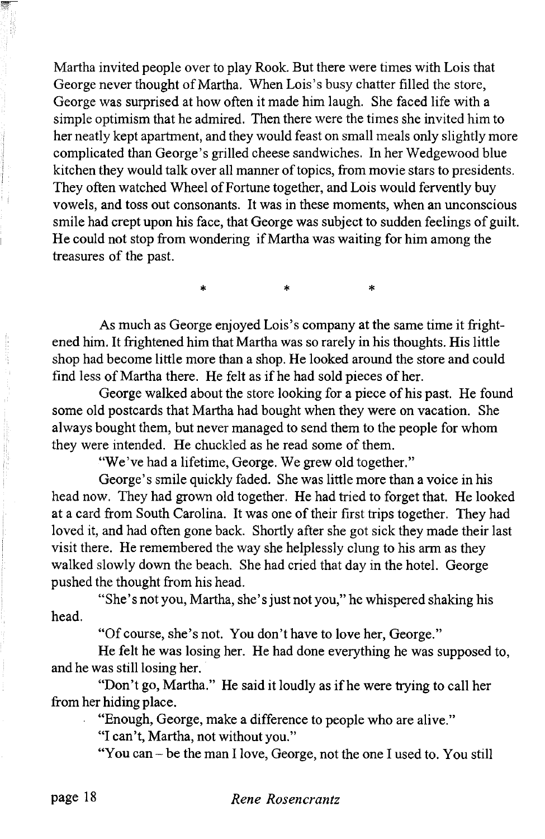Martha invited people over to play Rook. But there were times with Lois that George never thought of Martha. When Lois's busy chatter filled the store, George was surprised at how often it made him laugh. She faced life with a simple optimism that he admired. Then there were the times she invited him to her neatly kept apartment, and they would feast on small meals only slightly more complicated than George's grilled cheese sandwiches. In her Wedgewood blue kitchen they would talk over all manner of topics, from movie stars to presidents. They often watched Wheel of Fortune together, and Lois would fervently buy vowels, and toss out consonants. It was in these moments, when an unconscious smile had crept upon his face, that George was subject to sudden feelings of guilt. He could not stop from wondering if Martha was waiting for him among the treasures of the past.

\* \* \*

As much as George enjoyed Lois's company at the same time it frightened him. It frightened him that Martha was so rarely in his thoughts. His little shop had become little more than a shop. He looked around the store and could find less of Martha there. He felt as if he had sold pieces of her.

George walked about the store looking for a piece of his past. He found some old postcards that Martha had bought when they were on vacation. She always bought them, but never managed to send them to the people for whom they were intended. He chuckled as he read some of them.

"We've had a lifetime, George. We grew old together."

George's smile quickly faded. She was little more than a voice in his head now. They had grown old together. He had tried to forget that. He looked at a card from South Carolina. It was one of their first trips together. They had loved it, and had often gone back. Shortly after she got sick they made their last visit there. He remembered the way she helplessly clung to his arm as they walked slowly down the beach. She had cried that day in the hotel. George pushed the thought from his head.

"She's not you, Martha, she's just not you," he whispered shaking his head.

"Of course, she's not. You don't have to love her, George."

He felt he was losing her. He had done everything he was supposed to, and he was still losing her.

"Don't go, Martha." He said it loudly as if he were trying to call her from her hiding place.

"Enough, George, make a difference to people who are alive."

"I can't, Martha, not without you."

"You can - be the man I love, George, not the one I used to. You still